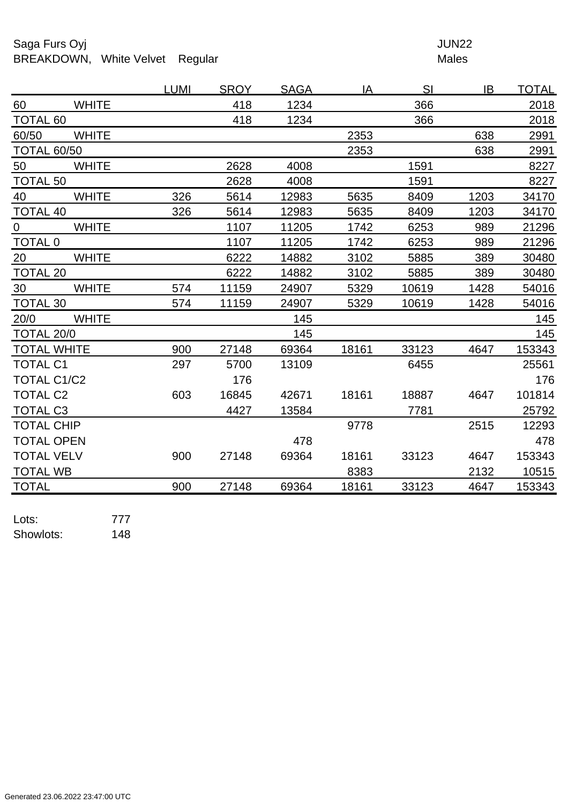## Saga Furs Oyj and the Saga Furs Oyj and the Saga Furs of the Saga Furs of the Saga Furs of the Saga Furs of the Saga Furs of the Saga Furs of the Saga Furs of the Saga Furs of the Saga Furs of the Saga Furs of the Saga Fur BREAKDOWN, White Velvet Regular Males

| <b>WHITE</b><br>418<br>1234<br>366<br>2018<br>60<br><b>TOTAL 60</b><br>418<br>1234<br>366<br>2018<br>60/50<br><b>WHITE</b><br>2353<br>638<br>2991<br><b>TOTAL 60/50</b><br>2353<br>638<br>2991<br>50<br>2628<br><b>WHITE</b><br>4008<br>1591<br>8227<br>2628<br>1591<br>8227<br><b>TOTAL 50</b><br>4008<br>40<br><b>WHITE</b><br>326<br>5635<br>8409<br>1203<br>5614<br>12983<br>34170<br>326<br>5635<br><b>TOTAL 40</b><br>5614<br>12983<br>8409<br>1203<br>34170<br><b>WHITE</b><br>1107<br>11205<br>1742<br>6253<br>989<br>21296<br>$\overline{0}$<br><b>TOTAL 0</b><br>6253<br>989<br>21296<br>1107<br>11205<br>1742<br><b>WHITE</b><br>20<br>6222<br>14882<br>3102<br>5885<br>389<br>30480<br><b>TOTAL 20</b><br>6222<br>14882<br>3102<br>5885<br>389<br>30480<br>30<br><b>WHITE</b><br>1428<br>54016<br>11159<br>5329<br>10619<br>574<br>24907<br>54016<br>TOTAL 30<br>5329<br>10619<br>1428<br>574<br>11159<br>24907<br>20/0<br><b>WHITE</b><br>145<br>145<br>TOTAL 20/0<br>145<br>145 |
|-----------------------------------------------------------------------------------------------------------------------------------------------------------------------------------------------------------------------------------------------------------------------------------------------------------------------------------------------------------------------------------------------------------------------------------------------------------------------------------------------------------------------------------------------------------------------------------------------------------------------------------------------------------------------------------------------------------------------------------------------------------------------------------------------------------------------------------------------------------------------------------------------------------------------------------------------------------------------------------------------|
|                                                                                                                                                                                                                                                                                                                                                                                                                                                                                                                                                                                                                                                                                                                                                                                                                                                                                                                                                                                               |
|                                                                                                                                                                                                                                                                                                                                                                                                                                                                                                                                                                                                                                                                                                                                                                                                                                                                                                                                                                                               |
|                                                                                                                                                                                                                                                                                                                                                                                                                                                                                                                                                                                                                                                                                                                                                                                                                                                                                                                                                                                               |
|                                                                                                                                                                                                                                                                                                                                                                                                                                                                                                                                                                                                                                                                                                                                                                                                                                                                                                                                                                                               |
|                                                                                                                                                                                                                                                                                                                                                                                                                                                                                                                                                                                                                                                                                                                                                                                                                                                                                                                                                                                               |
|                                                                                                                                                                                                                                                                                                                                                                                                                                                                                                                                                                                                                                                                                                                                                                                                                                                                                                                                                                                               |
|                                                                                                                                                                                                                                                                                                                                                                                                                                                                                                                                                                                                                                                                                                                                                                                                                                                                                                                                                                                               |
|                                                                                                                                                                                                                                                                                                                                                                                                                                                                                                                                                                                                                                                                                                                                                                                                                                                                                                                                                                                               |
|                                                                                                                                                                                                                                                                                                                                                                                                                                                                                                                                                                                                                                                                                                                                                                                                                                                                                                                                                                                               |
|                                                                                                                                                                                                                                                                                                                                                                                                                                                                                                                                                                                                                                                                                                                                                                                                                                                                                                                                                                                               |
|                                                                                                                                                                                                                                                                                                                                                                                                                                                                                                                                                                                                                                                                                                                                                                                                                                                                                                                                                                                               |
|                                                                                                                                                                                                                                                                                                                                                                                                                                                                                                                                                                                                                                                                                                                                                                                                                                                                                                                                                                                               |
|                                                                                                                                                                                                                                                                                                                                                                                                                                                                                                                                                                                                                                                                                                                                                                                                                                                                                                                                                                                               |
|                                                                                                                                                                                                                                                                                                                                                                                                                                                                                                                                                                                                                                                                                                                                                                                                                                                                                                                                                                                               |
|                                                                                                                                                                                                                                                                                                                                                                                                                                                                                                                                                                                                                                                                                                                                                                                                                                                                                                                                                                                               |
|                                                                                                                                                                                                                                                                                                                                                                                                                                                                                                                                                                                                                                                                                                                                                                                                                                                                                                                                                                                               |
| 153343<br><b>TOTAL WHITE</b><br>900<br>69364<br>27148<br>18161<br>33123<br>4647                                                                                                                                                                                                                                                                                                                                                                                                                                                                                                                                                                                                                                                                                                                                                                                                                                                                                                               |
| <b>TOTAL C1</b><br>297<br>5700<br>13109<br>6455<br>25561                                                                                                                                                                                                                                                                                                                                                                                                                                                                                                                                                                                                                                                                                                                                                                                                                                                                                                                                      |
| <b>TOTAL C1/C2</b><br>176<br>176                                                                                                                                                                                                                                                                                                                                                                                                                                                                                                                                                                                                                                                                                                                                                                                                                                                                                                                                                              |
| <b>TOTAL C2</b><br>603<br>16845<br>101814<br>42671<br>18161<br>18887<br>4647                                                                                                                                                                                                                                                                                                                                                                                                                                                                                                                                                                                                                                                                                                                                                                                                                                                                                                                  |
| <b>TOTAL C3</b><br>25792<br>4427<br>13584<br>7781                                                                                                                                                                                                                                                                                                                                                                                                                                                                                                                                                                                                                                                                                                                                                                                                                                                                                                                                             |
| <b>TOTAL CHIP</b><br>9778<br>2515<br>12293                                                                                                                                                                                                                                                                                                                                                                                                                                                                                                                                                                                                                                                                                                                                                                                                                                                                                                                                                    |
| <b>TOTAL OPEN</b><br>478<br>478                                                                                                                                                                                                                                                                                                                                                                                                                                                                                                                                                                                                                                                                                                                                                                                                                                                                                                                                                               |
| <b>TOTAL VELV</b><br>900<br>33123<br>153343<br>27148<br>69364<br>18161<br>4647                                                                                                                                                                                                                                                                                                                                                                                                                                                                                                                                                                                                                                                                                                                                                                                                                                                                                                                |
| 8383<br>2132<br><b>TOTAL WB</b><br>10515                                                                                                                                                                                                                                                                                                                                                                                                                                                                                                                                                                                                                                                                                                                                                                                                                                                                                                                                                      |
| <b>TOTAL</b><br>900<br>27148<br>69364<br>18161<br>33123<br>4647<br>153343                                                                                                                                                                                                                                                                                                                                                                                                                                                                                                                                                                                                                                                                                                                                                                                                                                                                                                                     |

Lots: 777 Showlots: 148